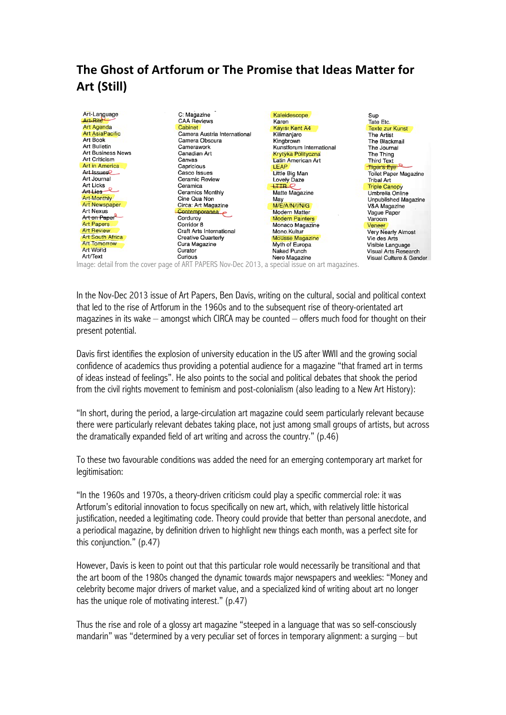## The Ghost of Artforum or The Promise that Ideas Matter for **Art\$(Still)**

| Art-Language            | C: Magazine                  | Kaleidescope              | Sup                       |
|-------------------------|------------------------------|---------------------------|---------------------------|
| Art-Rite                | <b>CAA Reviews</b>           | Karen                     | Tate Etc.                 |
| <b>Art Agenda</b>       | Cabinet                      | Kayısı Kent A4            | <b>Texte zur Kunst</b>    |
| <b>Art AsiaPacific</b>  | Camera Austria International | Kilimanjaro               | The Artist                |
| Art Book                | Camera Obscura               | Kingbrown                 | The Blackmail             |
| <b>Art Bulletin</b>     | Camerawork                   | Kunstforum International  | The Journal               |
| Art Business News       | Canadian Art                 | Krytyka Polityczna        | The Thina                 |
| Art Criticism           | Canvas                       | <b>Latin American Art</b> | <b>Third Text</b>         |
| <b>Art in America</b>   | Capricious                   | <b>LEAP</b>               | Tiger's Eye               |
| Art Issues <sup>2</sup> | Casco Issues                 | Little Big Man            | Toilet Paper Magazine     |
| Art Journal             | Ceramic Review               | Lovely Daze               | <b>Tribal Art</b>         |
| Art Licks               | Ceramica                     | $+$ HR $\varphi$          | <b>Triple Canopy</b>      |
| Art Lies                | Ceramics Monthly             | Matte Magazine            | Umbrella Online           |
| Art-Monthly             | Cine Qua Non                 | May                       | Unpublished Magazine      |
| <b>Art Newspaper</b>    | Circa: Art Magazine          | M/E/A/N/I/N/G             | V&A Magazine              |
| <b>Art Nexus</b>        | Contemporanea                | <b>Modern Matter</b>      | Vague Paper               |
| Art on Paper            | Cordurov                     | <b>Modern Painters</b>    | Varoom                    |
| <b>Art Papers</b>       | Corridor 8                   | Monaco Magazine           | Veneer                    |
| <b>Art Review</b>       | Craft Arts International     | Mono.Kultur               | <b>Very Nearly Almost</b> |
| <b>Art South Africa</b> | <b>Creative Quarterly</b>    | <b>Mousse Magazine</b>    | Vie des Arts              |
| <b>Art Tomorrow</b>     | Cura Magazine                | Myth of Europa            | Visible Language          |
| Art World               | Curator                      | Naked Punch               | Visual Arts Research      |
| Art/Text                | Curious                      | Nero Magazine             | Visual Culture & Gender   |

Image: detail from the cover page of ART PAPERS Nov-Dec 2013, a special issue on art magazines.

In the Nov-Dec 2013 issue of Art Papers, Ben Davis, writing on the cultural, social and political context that led to the rise of Artforum in the 1960s and to the subsequent rise of theory-orientated art magazines in its wake – amongst which CIRCA may be counted – offers much food for thought on their present potential.

Davis first identifies the explosion of university education in the US after WWII and the growing social confidence of academics thus providing a potential audience for a magazine "that framed art in terms of ideas instead of feelings". He also points to the social and political debates that shook the period from the civil rights movement to feminism and post-colonialism (also leading to a New Art History):

"In short, during the period, a large-circulation art magazine could seem particularly relevant because there were particularly relevant debates taking place, not just among small groups of artists, but across the dramatically expanded field of art writing and across the country." (p.46)

To these two favourable conditions was added the need for an emerging contemporary art market for legitimisation:

"In the 1960s and 1970s, a theory-driven criticism could play a specific commercial role: it was Artforum's editorial innovation to focus specifically on new art, which, with relatively little historical justification, needed a legitimating code. Theory could provide that better than personal anecdote, and a periodical magazine, by definition driven to highlight new things each month, was a perfect site for this conjunction." (p.47)

However, Davis is keen to point out that this particular role would necessarily be transitional and that the art boom of the 1980s changed the dynamic towards major newspapers and weeklies: "Money and celebrity become major drivers of market value, and a specialized kind of writing about art no longer has the unique role of motivating interest." (p.47)

Thus the rise and role of a glossy art magazine "steeped in a language that was so self-consciously mandarin" was "determined by a very peculiar set of forces in temporary alignment: a surging – but